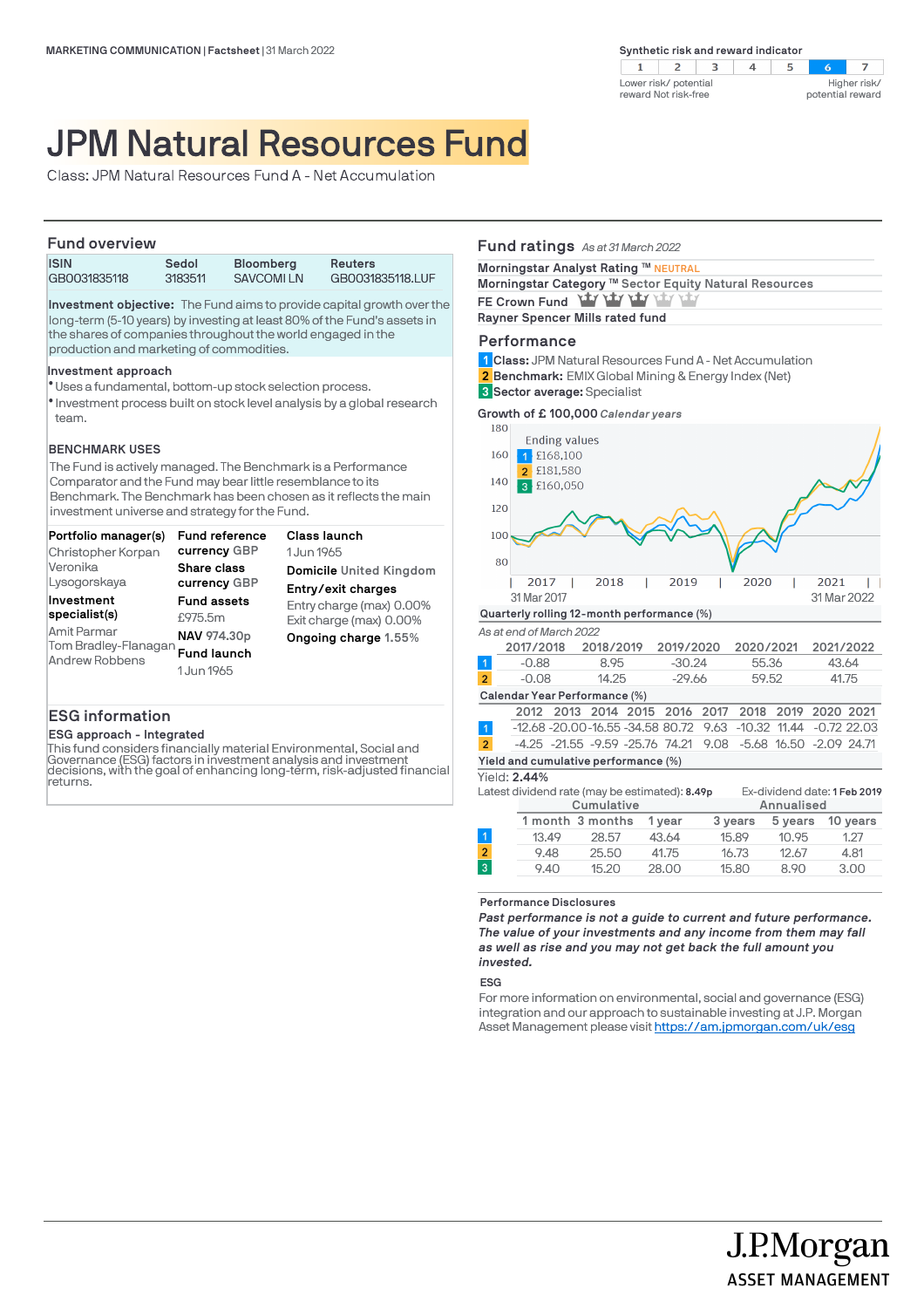

# JPM Natural Resources Fund

Class: JPM Natural Resources Fund A - Net Accumulation

# **Fund overview**

| <b>FULLY OVERVIEW</b> |         |                  |                  |  |
|-----------------------|---------|------------------|------------------|--|
| <b>ISIN</b>           | Sedol   | <b>Bloomberg</b> | <b>Reuters</b>   |  |
| GB0031835118          | 3183511 | SAVCOMI LN       | GB0031835118.LUF |  |

**Investment objective:** The Fund aims to provide capital growth over the long-term (5-10 years) by investing at least 80% of the Fund's assets in the shares of companies throughout the world engaged in the production and marketing of commodities.

#### **Investment approach**

- Uses a fundamental, bottom-up stock selection process. l
- $\bullet$  Investment process built on stock level analysis by a global research team.

# **BENCHMARK USES**

The Fund is actively managed. The Benchmark is a Performance Comparator and the Fund may bear little resemblance to its Benchmark. The Benchmark has been chosen as it reflects the main investment universe and strategy for the Fund.

| Portfolio manager(s)                                                                 | Fund reference                                                                   | Class launch                                                                |
|--------------------------------------------------------------------------------------|----------------------------------------------------------------------------------|-----------------------------------------------------------------------------|
| Christopher Korpan                                                                   | currency GBP                                                                     | 1 Jun 1965                                                                  |
| Veronika                                                                             | <b>Share class</b>                                                               | Domicile United Kingdom                                                     |
| Lysogorskaya                                                                         | currency GBP                                                                     | Entry/exit charges                                                          |
| Investment<br>specialist(s)<br>Amit Parmar<br>Tom Bradley-Flanagan<br>Andrew Robbens | <b>Fund assets</b><br>£975.5m<br>NAV 974.30p<br><b>Fund launch</b><br>1 Jun 1965 | Entry charge (max) 0.00%<br>Exit charge (max) 0.00%<br>Ongoing charge 1.55% |

# **ESG information**

**ESG approach - Integrated**

This fund considers financially material Environmental, Social and Governance (ESG) factors in investment analysis and investment decisions, with the goal of enhancing long-term, risk-adjusted financial returns.

# **Fund ratings** *As at 31 March 2022*

| Morningstar Analyst Rating ™ NEUTRAL                   |  |
|--------------------------------------------------------|--|
| Morningstar Category ™ Sector Equity Natural Resources |  |
| FE Crown Fund Yary Yary Yary Yary                      |  |

**Rayner Spencer Mills rated fund** 

#### **Performance**

**Class:** JPM Natural Resources Fund A - Net Accumulation **1 Benchmark:** EMIX Global Mining & Energy Index (Net) **2**

**Sector average:** Specialist **3**

**Growth of £ 100,000** *Calendar years*



**Performance Disclosures**

*Past performance is not a guide to current and future performance. The value of your investments and any income from them may fall as well as rise and you may not get back the full amount you invested.* 

9.40 15.20 28.00 15.80 8.90 3.00

J.P.Morgan

**ASSET MANAGEMENT** 

**ESG**

For more information on environmental, social and governance (ESG) integration and our approach to sustainable investing at J.P. Morgan Asset Management please visit https://am.jpmorgan.com/uk/esg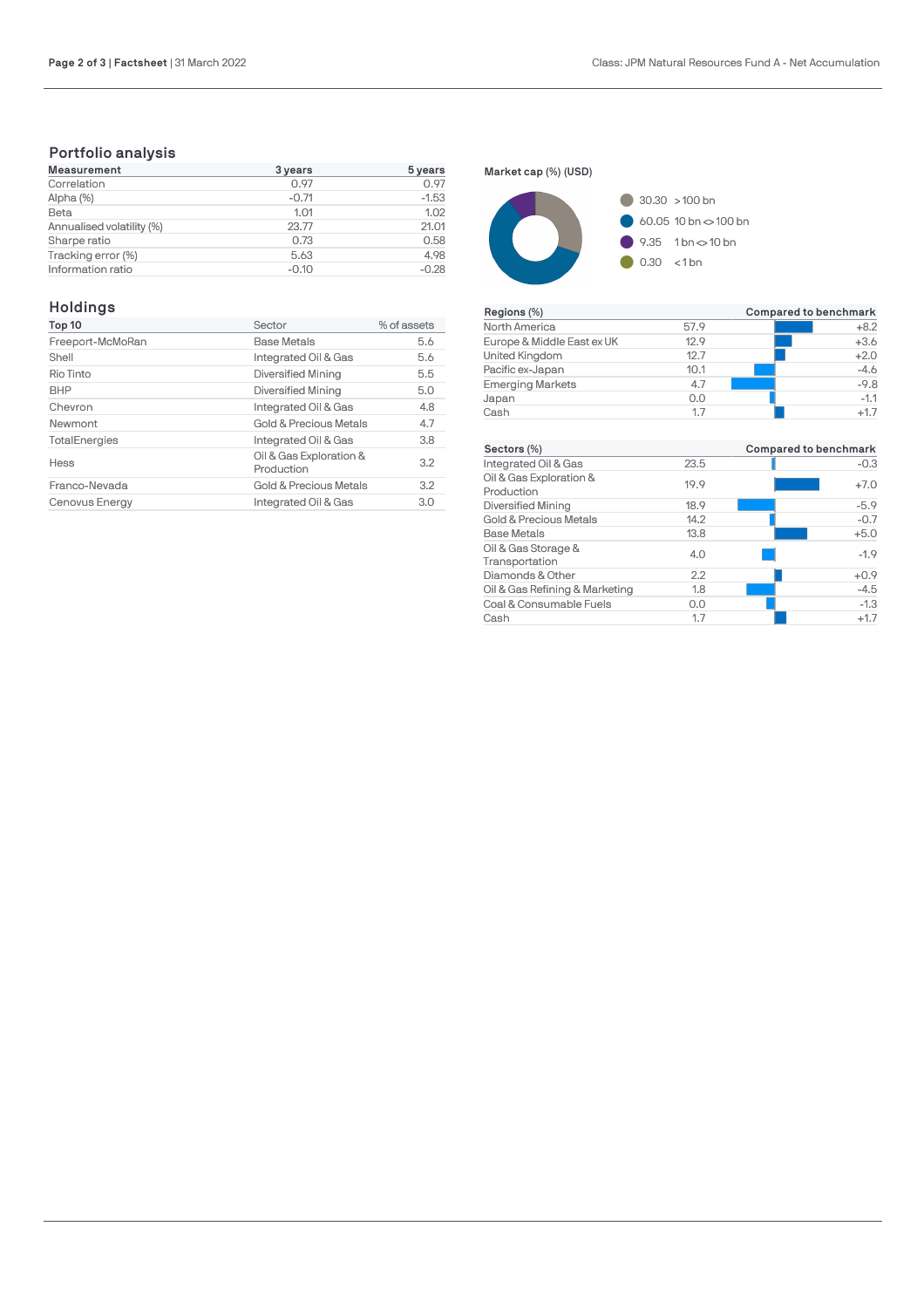# **Portfolio analysis**

| <b>Measurement</b>        | 3 years | 5 years |
|---------------------------|---------|---------|
| Correlation               | 0.97    | 0.97    |
| Alpha (%)                 | $-0.71$ | $-1.53$ |
| Beta                      | 1.01    | 1.02    |
| Annualised volatility (%) | 23.77   | 21.01   |
| Sharpe ratio              | 0.73    | 0.58    |
| Tracking error (%)        | 5.63    | 4.98    |
| Information ratio         | $-0.10$ | $-0.28$ |

# **Holdings**

| Top 10               | Sector                                | % of assets |
|----------------------|---------------------------------------|-------------|
| Freeport-McMoRan     | <b>Base Metals</b>                    | 5.6         |
| Shell                | Integrated Oil & Gas                  | 5.6         |
| Rio Tinto            | Diversified Mining                    | 5.5         |
| <b>BHP</b>           | Diversified Mining                    | 5.0         |
| Chevron              | Integrated Oil & Gas                  | 4.8         |
| Newmont              | <b>Gold &amp; Precious Metals</b>     | 4.7         |
| <b>TotalEnergies</b> | Integrated Oil & Gas                  | 3.8         |
| <b>Hess</b>          | Oil & Gas Exploration &<br>Production | 3.2         |
| Franco-Nevada        | Gold & Precious Metals                | 3.2         |
| Cenovus Energy       | Integrated Oil & Gas                  | 3.0         |

**Market cap (%) (USD)**



| Regions (%)                |      | Compared to benchmark |
|----------------------------|------|-----------------------|
| North America              | 57.9 | $+8.2$                |
| Europe & Middle East ex UK | 12.9 | $+3.6$                |
| United Kingdom             | 12.7 | $+2.0$                |
| Pacific ex-Japan           | 10.1 | $-4.6$                |
| <b>Emerging Markets</b>    | 4.7  | $-9.8$                |
| Japan                      | 0.0  | $-1.1$                |
| Cash                       | 1.7  | $+1.7$                |

| Sectors (%)                           |      | Compared to benchmark |
|---------------------------------------|------|-----------------------|
| Integrated Oil & Gas                  | 23.5 | $-0.3$                |
| Oil & Gas Exploration &<br>Production | 19.9 | $+7.0$                |
| <b>Diversified Mining</b>             | 18.9 | $-5.9$                |
| Gold & Precious Metals                | 14.2 | $-0.7$                |
| <b>Base Metals</b>                    | 13.8 | $+5.0$                |
| Oil & Gas Storage &<br>Transportation | 4.0  | $-1.9$                |
| Diamonds & Other                      | 2.2  | $+0.9$                |
| Oil & Gas Refining & Marketing        | 1.8  | $-4.5$                |
| Coal & Consumable Fuels               | 0.0  | $-1.3$                |
| Cash                                  | 1.7  | $+1.7$                |